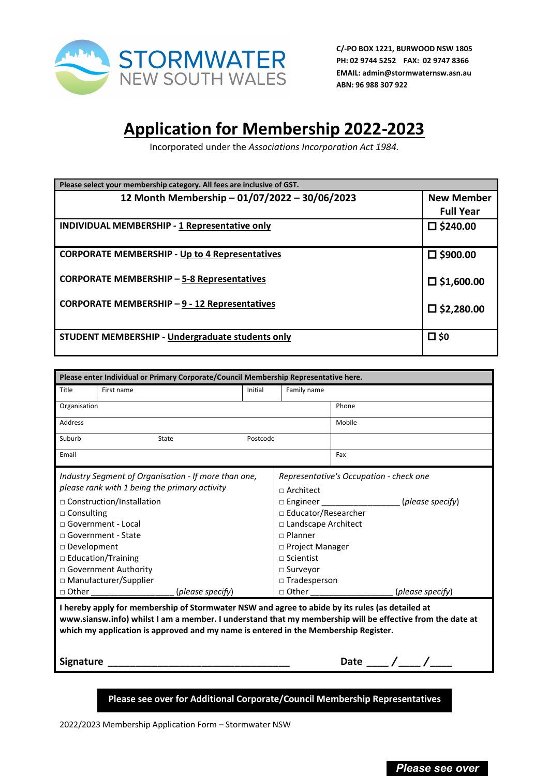

**C/-PO BOX 1221, BURWOOD NSW 1805 PH: 02 9744 5252 FAX: 02 9747 8366 EMAIL: admin@stormwaternsw.asn.au ABN: 96 988 307 922**

## **Application for Membership 2022-2023**

Incorporated under the *Associations Incorporation Act 1984.*

| Please select your membership category. All fees are inclusive of GST. |                      |  |  |  |
|------------------------------------------------------------------------|----------------------|--|--|--|
| 12 Month Membership - 01/07/2022 - 30/06/2023                          | <b>New Member</b>    |  |  |  |
|                                                                        | <b>Full Year</b>     |  |  |  |
| <b>INDIVIDUAL MEMBERSHIP - 1 Representative only</b>                   | $\square$ \$240.00   |  |  |  |
| <b>CORPORATE MEMBERSHIP - Up to 4 Representatives</b>                  | $\square$ \$900.00   |  |  |  |
| <b>CORPORATE MEMBERSHIP - 5-8 Representatives</b>                      | $\square$ \$1,600.00 |  |  |  |
| CORPORATE MEMBERSHIP - 9 - 12 Representatives                          | $\square$ \$2,280.00 |  |  |  |
| STUDENT MEMBERSHIP - Undergraduate students only                       | $\square$ \$0        |  |  |  |

| Please enter Individual or Primary Corporate/Council Membership Representative here.                                                                                                                                                                                                                                                            |            |                                         |                             |                  |  |  |
|-------------------------------------------------------------------------------------------------------------------------------------------------------------------------------------------------------------------------------------------------------------------------------------------------------------------------------------------------|------------|-----------------------------------------|-----------------------------|------------------|--|--|
| Title                                                                                                                                                                                                                                                                                                                                           | First name | Initial                                 | Family name                 |                  |  |  |
| Organisation                                                                                                                                                                                                                                                                                                                                    |            |                                         |                             | Phone            |  |  |
| <b>Address</b>                                                                                                                                                                                                                                                                                                                                  |            | Mobile                                  |                             |                  |  |  |
| Suburb                                                                                                                                                                                                                                                                                                                                          | State      | Postcode                                |                             |                  |  |  |
| Email                                                                                                                                                                                                                                                                                                                                           |            |                                         |                             | Fax              |  |  |
| Industry Segment of Organisation - If more than one,                                                                                                                                                                                                                                                                                            |            | Representative's Occupation - check one |                             |                  |  |  |
| please rank with 1 being the primary activity                                                                                                                                                                                                                                                                                                   |            | $\sqcap$ Architect                      |                             |                  |  |  |
| □ Construction/Installation                                                                                                                                                                                                                                                                                                                     |            |                                         | □ Engineer (please specify) |                  |  |  |
| $\Box$ Consulting                                                                                                                                                                                                                                                                                                                               |            | □ Educator/Researcher                   |                             |                  |  |  |
| $\Box$ Government - Local                                                                                                                                                                                                                                                                                                                       |            |                                         | □ Landscape Architect       |                  |  |  |
| $\sqcap$ Government - State                                                                                                                                                                                                                                                                                                                     |            | $\Box$ Planner                          |                             |                  |  |  |
| □ Development                                                                                                                                                                                                                                                                                                                                   |            | □ Project Manager                       |                             |                  |  |  |
| $\Box$ Education/Training                                                                                                                                                                                                                                                                                                                       |            |                                         | $\sqcap$ Scientist          |                  |  |  |
| □ Government Authority                                                                                                                                                                                                                                                                                                                          |            |                                         | $\square$ Surveyor          |                  |  |  |
| □ Manufacturer/Supplier                                                                                                                                                                                                                                                                                                                         |            | $\square$ Tradesperson                  |                             |                  |  |  |
| $\Box$ Other                                                                                                                                                                                                                                                                                                                                    |            | (please specify)                        | $\Box$ Other                | (please specify) |  |  |
| I hereby apply for membership of Stormwater NSW and agree to abide by its rules (as detailed at<br>www.siansw.info) whilst I am a member. I understand that my membership will be effective from the date at<br>which my application is approved and my name is entered in the Membership Register.<br>Date ___ / ___ / ___<br><b>Signature</b> |            |                                         |                             |                  |  |  |

**Please see over for Additional Corporate/Council Membership Representatives**

2022/2023 Membership Application Form – Stormwater NSW